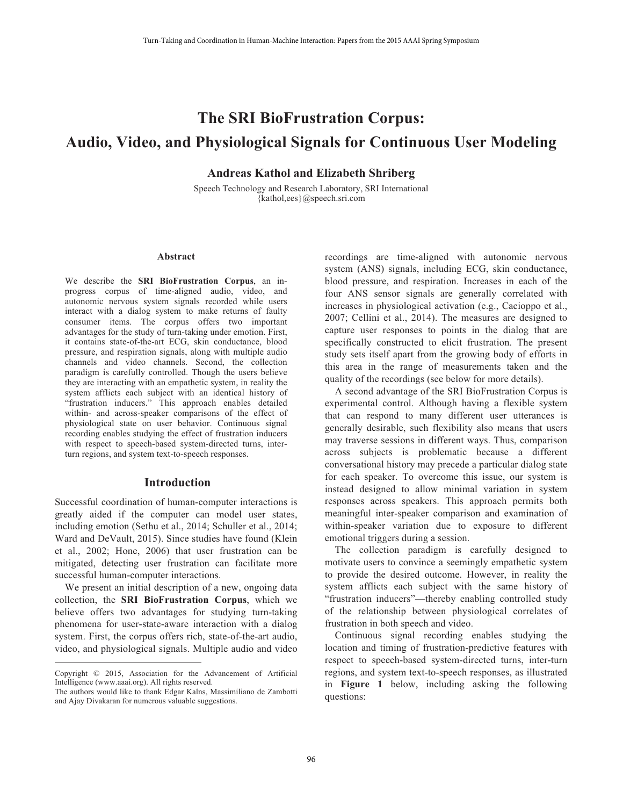# **The SRI BioFrustration Corpus: Audio, Video, and Physiological Signals for Continuous User Modeling**

## **Andreas Kathol and Elizabeth Shriberg**

Speech Technology and Research Laboratory, SRI International {kathol,ees}@speech.sri.com

#### **Abstract**

We describe the **SRI BioFrustration Corpus**, an inprogress corpus of time-aligned audio, video, and autonomic nervous system signals recorded while users interact with a dialog system to make returns of faulty consumer items. The corpus offers two important advantages for the study of turn-taking under emotion. First, it contains state-of-the-art ECG, skin conductance, blood pressure, and respiration signals, along with multiple audio channels and video channels. Second, the collection paradigm is carefully controlled. Though the users believe they are interacting with an empathetic system, in reality the system afflicts each subject with an identical history of "frustration inducers." This approach enables detailed within- and across-speaker comparisons of the effect of physiological state on user behavior. Continuous signal recording enables studying the effect of frustration inducers with respect to speech-based system-directed turns, interturn regions, and system text-to-speech responses.

#### **Introduction**

Successful coordination of human-computer interactions is greatly aided if the computer can model user states, including emotion (Sethu et al., 2014; Schuller et al., 2014; Ward and DeVault, 2015). Since studies have found (Klein et al., 2002; Hone, 2006) that user frustration can be mitigated, detecting user frustration can facilitate more successful human-computer interactions.

We present an initial description of a new, ongoing data collection, the **SRI BioFrustration Corpus**, which we believe offers two advantages for studying turn-taking phenomena for user-state-aware interaction with a dialog system. First, the corpus offers rich, state-of-the-art audio, video, and physiological signals. Multiple audio and video

 $\overline{a}$ 

recordings are time-aligned with autonomic nervous system (ANS) signals, including ECG, skin conductance, blood pressure, and respiration. Increases in each of the four ANS sensor signals are generally correlated with increases in physiological activation (e.g., Cacioppo et al., 2007; Cellini et al., 2014). The measures are designed to capture user responses to points in the dialog that are specifically constructed to elicit frustration. The present study sets itself apart from the growing body of efforts in this area in the range of measurements taken and the quality of the recordings (see below for more details).

 A second advantage of the SRI BioFrustration Corpus is experimental control. Although having a flexible system that can respond to many different user utterances is generally desirable, such flexibility also means that users may traverse sessions in different ways. Thus, comparison across subjects is problematic because a different conversational history may precede a particular dialog state for each speaker. To overcome this issue, our system is instead designed to allow minimal variation in system responses across speakers. This approach permits both meaningful inter-speaker comparison and examination of within-speaker variation due to exposure to different emotional triggers during a session.

 The collection paradigm is carefully designed to motivate users to convince a seemingly empathetic system to provide the desired outcome. However, in reality the system afflicts each subject with the same history of "frustration inducers"—thereby enabling controlled study of the relationship between physiological correlates of frustration in both speech and video.

 Continuous signal recording enables studying the location and timing of frustration-predictive features with respect to speech-based system-directed turns, inter-turn regions, and system text-to-speech responses, as illustrated in **Figure 1** below, including asking the following questions:

Copyright © 2015, Association for the Advancement of Artificial Intelligence (www.aaai.org). All rights reserved.

The authors would like to thank Edgar Kalns, Massimiliano de Zambotti and Ajay Divakaran for numerous valuable suggestions.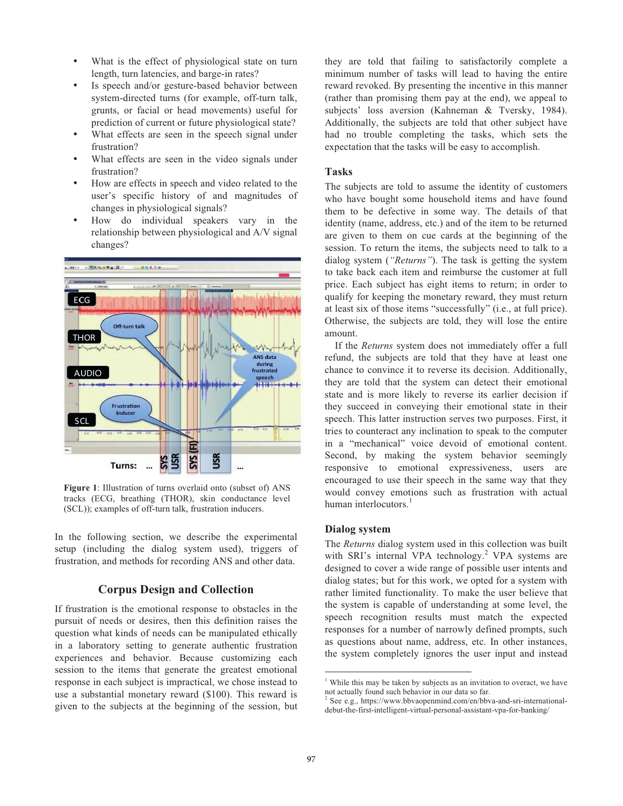- What is the effect of physiological state on turn length, turn latencies, and barge-in rates?
- Is speech and/or gesture-based behavior between system-directed turns (for example, off-turn talk, grunts, or facial or head movements) useful for prediction of current or future physiological state?
- What effects are seen in the speech signal under frustration?
- What effects are seen in the video signals under frustration?
- How are effects in speech and video related to the user's specific history of and magnitudes of changes in physiological signals?
- How do individual speakers vary in the relationship between physiological and A/V signal changes?



**Figure 1**: Illustration of turns overlaid onto (subset of) ANS tracks (ECG, breathing (THOR), skin conductance level (SCL)); examples of off-turn talk, frustration inducers.

In the following section, we describe the experimental setup (including the dialog system used), triggers of frustration, and methods for recording ANS and other data.

## **Corpus Design and Collection**

If frustration is the emotional response to obstacles in the pursuit of needs or desires, then this definition raises the question what kinds of needs can be manipulated ethically in a laboratory setting to generate authentic frustration experiences and behavior. Because customizing each session to the items that generate the greatest emotional response in each subject is impractical, we chose instead to use a substantial monetary reward (\$100). This reward is given to the subjects at the beginning of the session, but they are told that failing to satisfactorily complete a minimum number of tasks will lead to having the entire reward revoked. By presenting the incentive in this manner (rather than promising them pay at the end), we appeal to subjects' loss aversion (Kahneman & Tversky, 1984). Additionally, the subjects are told that other subject have had no trouble completing the tasks, which sets the expectation that the tasks will be easy to accomplish.

#### **Tasks**

The subjects are told to assume the identity of customers who have bought some household items and have found them to be defective in some way. The details of that identity (name, address, etc.) and of the item to be returned are given to them on cue cards at the beginning of the session. To return the items, the subjects need to talk to a dialog system (*"Returns"*). The task is getting the system to take back each item and reimburse the customer at full price. Each subject has eight items to return; in order to qualify for keeping the monetary reward, they must return at least six of those items "successfully" (i.e., at full price). Otherwise, the subjects are told, they will lose the entire amount.

 If the *Returns* system does not immediately offer a full refund, the subjects are told that they have at least one chance to convince it to reverse its decision. Additionally, they are told that the system can detect their emotional state and is more likely to reverse its earlier decision if they succeed in conveying their emotional state in their speech. This latter instruction serves two purposes. First, it tries to counteract any inclination to speak to the computer in a "mechanical" voice devoid of emotional content. Second, by making the system behavior seemingly responsive to emotional expressiveness, users are encouraged to use their speech in the same way that they would convey emotions such as frustration with actual human interlocutors.<sup>1</sup>

#### **Dialog system**

The *Returns* dialog system used in this collection was built with SRI's internal VPA technology.<sup>2</sup> VPA systems are designed to cover a wide range of possible user intents and dialog states; but for this work, we opted for a system with rather limited functionality. To make the user believe that the system is capable of understanding at some level, the speech recognition results must match the expected responses for a number of narrowly defined prompts, such as questions about name, address, etc. In other instances, the system completely ignores the user input and instead

 1 While this may be taken by subjects as an invitation to overact, we have not actually found such behavior in our data so far.

See e.g., https://www.bbvaopenmind.com/en/bbva-and-sri-internationaldebut-the-first-intelligent-virtual-personal-assistant-vpa-for-banking/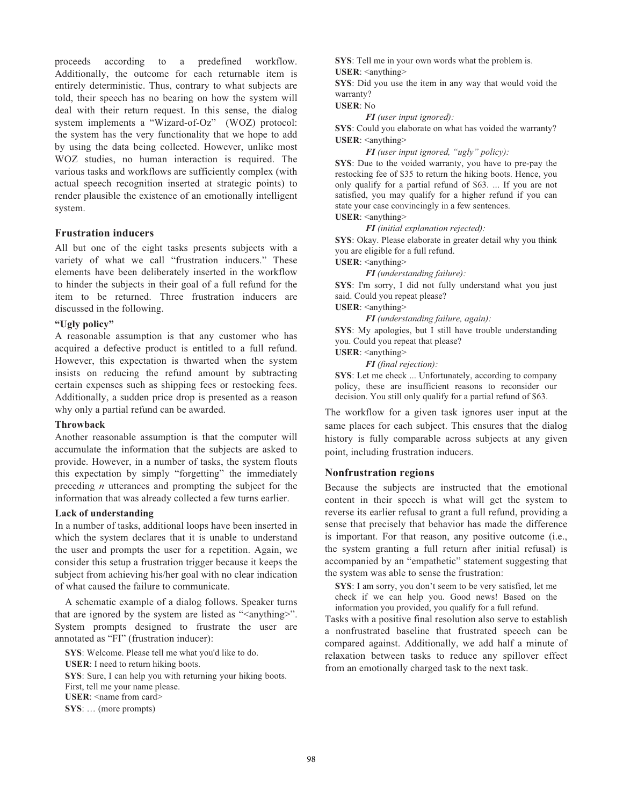proceeds according to a predefined workflow. Additionally, the outcome for each returnable item is entirely deterministic. Thus, contrary to what subjects are told, their speech has no bearing on how the system will deal with their return request. In this sense, the dialog system implements a "Wizard-of-Oz" (WOZ) protocol: the system has the very functionality that we hope to add by using the data being collected. However, unlike most WOZ studies, no human interaction is required. The various tasks and workflows are sufficiently complex (with actual speech recognition inserted at strategic points) to render plausible the existence of an emotionally intelligent system.

## **Frustration inducers**

All but one of the eight tasks presents subjects with a variety of what we call "frustration inducers." These elements have been deliberately inserted in the workflow to hinder the subjects in their goal of a full refund for the item to be returned. Three frustration inducers are discussed in the following.

## **"Ugly policy"**

A reasonable assumption is that any customer who has acquired a defective product is entitled to a full refund. However, this expectation is thwarted when the system insists on reducing the refund amount by subtracting certain expenses such as shipping fees or restocking fees. Additionally, a sudden price drop is presented as a reason why only a partial refund can be awarded.

#### **Throwback**

Another reasonable assumption is that the computer will accumulate the information that the subjects are asked to provide. However, in a number of tasks, the system flouts this expectation by simply "forgetting" the immediately preceding *n* utterances and prompting the subject for the information that was already collected a few turns earlier.

#### **Lack of understanding**

In a number of tasks, additional loops have been inserted in which the system declares that it is unable to understand the user and prompts the user for a repetition. Again, we consider this setup a frustration trigger because it keeps the subject from achieving his/her goal with no clear indication of what caused the failure to communicate.

 A schematic example of a dialog follows. Speaker turns that are ignored by the system are listed as "<anything>". System prompts designed to frustrate the user are annotated as "FI" (frustration inducer):

**SYS**: Welcome. Please tell me what you'd like to do. **USER**: I need to return hiking boots. **SYS**: Sure, I can help you with returning your hiking boots. First, tell me your name please. **USER**: <name from card> **SYS**: … (more prompts)

**SYS**: Tell me in your own words what the problem is.

**USER**: <anything>

**SYS**: Did you use the item in any way that would void the warranty?

**USER**: No

 *FI (user input ignored):* 

**SYS**: Could you elaborate on what has voided the warranty? **USER**: <anything>

 *FI (user input ignored, "ugly" policy):* 

**SYS**: Due to the voided warranty, you have to pre-pay the restocking fee of \$35 to return the hiking boots. Hence, you only qualify for a partial refund of \$63. ... If you are not satisfied, you may qualify for a higher refund if you can state your case convincingly in a few sentences.

**USER**: <anything>

 *FI (initial explanation rejected):* 

**SYS**: Okay. Please elaborate in greater detail why you think you are eligible for a full refund.

**USER**: <anything>

 *FI (understanding failure):* 

**SYS**: I'm sorry, I did not fully understand what you just said. Could you repeat please?

**USER**: <anything>

 *FI (understanding failure, again):* 

**SYS**: My apologies, but I still have trouble understanding you. Could you repeat that please?

**USER**: <anything>

 *FI (final rejection):* 

**SYS**: Let me check ... Unfortunately, according to company policy, these are insufficient reasons to reconsider our decision. You still only qualify for a partial refund of \$63.

The workflow for a given task ignores user input at the same places for each subject. This ensures that the dialog history is fully comparable across subjects at any given point, including frustration inducers.

#### **Nonfrustration regions**

Because the subjects are instructed that the emotional content in their speech is what will get the system to reverse its earlier refusal to grant a full refund, providing a sense that precisely that behavior has made the difference is important. For that reason, any positive outcome (i.e., the system granting a full return after initial refusal) is accompanied by an "empathetic" statement suggesting that the system was able to sense the frustration:

**SYS**: I am sorry, you don't seem to be very satisfied, let me check if we can help you. Good news! Based on the information you provided, you qualify for a full refund.

Tasks with a positive final resolution also serve to establish a nonfrustrated baseline that frustrated speech can be compared against. Additionally, we add half a minute of relaxation between tasks to reduce any spillover effect from an emotionally charged task to the next task.